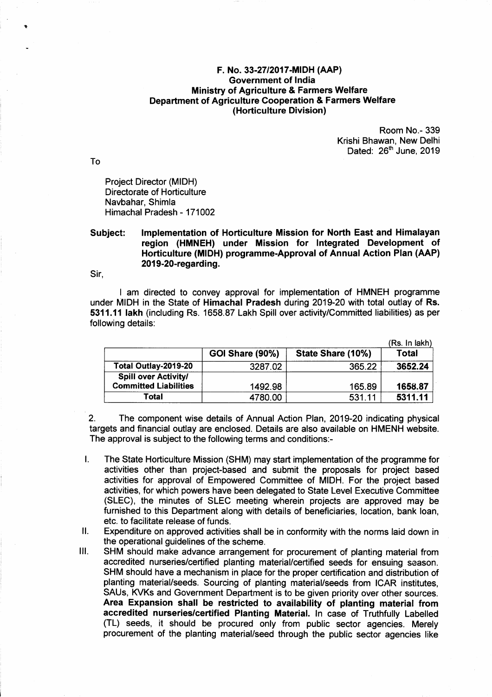## F. No.33-27/20{7-MIDH Government of lndia Ministry of Agriculture & Farmers Welfare Department of Agriculture Cooperation & Farmers Welfare (Horticulture Divislon)

Room No.- 339 Krishi Bhawan, New Delhi Dated: 26<sup>th</sup> June, 2019

Project Director (MIDH) Directorate of Horticulture Navbahar, Shimla Himachal Pradesh - 171002

## Subject: lmplementation of Horticulture Mission for North East and Himalayan region (HMNEH) under Mission for lntegrated Development of Horticulture (MIDH) programme-Approval of Annual Action Plan (AAP) 2019-20-regarding.

Sir,

I am directed to convey approval for implementation of HMNEH programme under MIDH in the State of Himachal Pradesh during 2019-20 with total outlay of Rs. 5311.{l lakh (including Rs. 1658.87 Lakh Spill over activity/Committed liabilities) as per following details:

|                              |                 |                   | (Rs. In lakh) |
|------------------------------|-----------------|-------------------|---------------|
|                              | GOI Share (90%) | State Share (10%) | Total         |
| Total Outlay-2019-20         | 3287.02         | 365.22            | 3652.24       |
| <b>Spill over Activity/</b>  |                 |                   |               |
| <b>Committed Liabilities</b> | 1492.98         | 165.89            | 1658.87       |
| Total                        | 4780.00         | 531.11            | 5311.11       |

2. The component wise details of Annual Action Plan, 2019-20 indicating physical targets and financial outlay are enclosed. Details are also available on HMENH website. The approval is subject to the following terms and conditions:-

- l. The State Horticulture Mission (SHM) may start implementation of the programme for activities other than project-based and submit the proposals for project based activities for approval of Empowered Committee of MIDH. For the project based activities, for which powers have been delegated to State Level Executive Committee (SLEC), the minutes of SLEC meeting wherein projects are approved may be furnished to this Department along with details of beneficiaries, location, bank loan,
- etc. to facilitate release of funds.<br>II. Expenditure on approved activities shall be in conformity with the norms laid down in<br>the operational guidelines of the scheme.
- III. SHM should make advance arrangement for procurement of planting material from accredited nurseries/certified planting material/certified seeds for ensuing season. SHM should have a mechanism in place for the proper certification and distribution of planting material/seeds. Sourcing of planting material/seeds from ICAR institutes, SAUs, KVKs and Government Department is to be given priority over other sources. Area Expansion shall be restricted to availability of planting material from accredited nurseries/certified Planting Material. In case of Truthfully Labelled (TL) seeds, it should be procured only from public sector agencies. Merely procurement of the planting material/seed through the public sector agencies like

To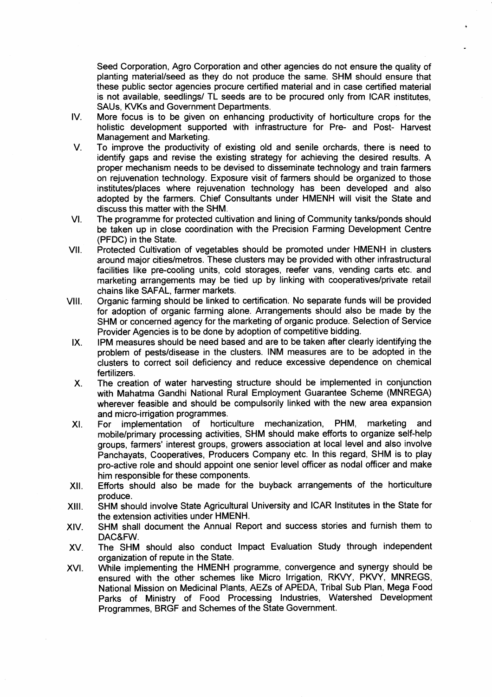Seed Corporation, Agro Corporation and other agencies do not ensure the quality of planting material/seed as they do not produce the same. SHM should ensure that these public sector agencies procure certified material and in case certified material is not available, seedlings/ TL seeds are to be procured only from ICAR institutes, SAUs, KVKs and Government Departments.

- IV More focus is to be given on enhancing productivity of horticulture crops for the holistic development supported with infrastructure for Pre- and Post- Harvest Management and Marketing.
- $V_{\cdot}$ To improve the productivity of existing old and senile orchards, there is need to identify gaps and revise the existing strategy for achieving the desired results. A proper mechanism needs to be devised to disseminate technology and train farmers on rejuvenation technology. Exposure visit of farmers should be organized to those institutesi/places where rejuvenation technology has been developed and also adopted by the farmers. Chief Consultants under HMENH will visit the State and discuss this matter with the SHM.
- The programme for protected cultivation and lining of Community tanks/ponds should be taken up in close coordination with the Precision Farming Development Centre (PFDC) in the State. VI
- Protected Cultivation of vegetables should be promoted under HMENH in clusters around major cities/metros. These clusters may be provided with other infrastructural facilities like pre-cooling units, cold storages, reefer vans, vending carts etc. and marketing arrangements may be tied up by linking with cooperatives/private retail chains like SAFAL, farmer markets. vii.
- Organic farming should be linked to certification. No separate funds will be provided for adoption of organic farming alone. Arrangements should also be made by the SHM or concerned agency for the marketing of organic produce. Selection of Service Provider Agencies is to be done by adoption of competitive bidding. vil.
	- IPM measures should be need based and are to be taken after clearly identifying the problem of pests/disease in the clusters. INM measures are to be adopted in the clusters to correct soil deficiency and reduce excessive dependence on chemical fertilizers. IX.
	- The creation of water harvesting structure should be implemented in conjunction with Mahatma Gandhi National Rural Employment Guarantee Scheme (MNREGA) wherever feasible and should be compulsorily linked with the new area expansion and micro-irrigation programmes. x.
	- For implementation of horticulture mechanization, PHM, marketing and mobile/primary processing activities, SHM should make efforts to organize self-help groups, farmers' interest groups, growers association at local level and also involve Panchayats, Cooperatives, Producers Company etc. ln this regard, SHM is to play pro-active role and should appoint one senior level officer as nodal officer and make him responsible for these components. XI.
- Efforts should also be made for the buyback arrangements of the horticulture produce.  $XII.$
- SHM should involve State Agricultural University and ICAR lnstitutes in the State for the extension activities under HMENH. xil.
- SHM shall document the Annual Report and success stories and furnish them to DAC&FW. XIV.
- The SHM should also conduct lmpact Evaluation Study through independent organization of repute in the State. xv.
- While implementing the HMENH programme, convergence and synergy should be ensured with the other schemes like Micro Irrigation, RKVY, PKVY, MNREGS, National Mission on Medicinal Plants, AEZS of APEDA, Tribal Sub Plan, Mega Food Parks of Ministry of Food Processing lndustries, Watershed Development Programmes, BRGF and Schemes of the State Government. xvt.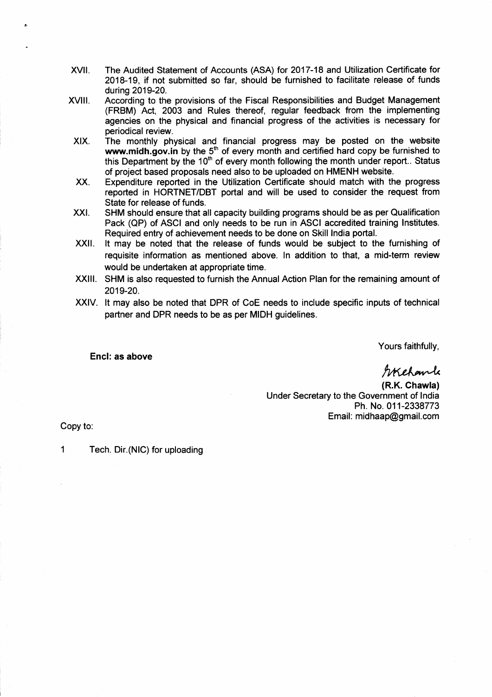- The Audited Statement of Accounts (ASA) for 2017-18 and Utilization Certificate for 2018-19, if not submitted so far, should be furnished to facilitate release of funds during 2019-20. xvil.
- According to the provisions of the Fiscal Responsibilities and Budget Management (FRBM) Act, 2003 and Rules thereof, regular feedback from the implementing agencies on the physical and financial progress of the activities is necessary for periodical review. xvilt.
- The monthly physical and financial progress may be posted on the website www.midh.gov.in by the  $5<sup>th</sup>$  of every month and certified hard copy be furnished to this Department by the  $10<sup>th</sup>$  of every month following the month under report.. Status of project based proposals need also to be uploaded on HMENH website. XIX.
- Expenditure reported in the Utilization Certificate should match with the progress reported in HORTNET/DBT portal and will be used to consider the request from State for release of funds. xx.
- SHM should ensure that all capacity building programs should be as per Qualification Pack (OP) of ASCI and only needs to be run in ASCI accredited training lnstitutes. Required entry of achievement needs to be done on Skill lndia portal. xxt.
- It may be noted that the release of funds would be subject to the fumishing of requisite information as mentioned above. ln addition to that, a mid-term review would be undertaken at appropriate time. xxil.
- XXIII. SHM is also requested to furnish the Annual Action Plan for the remaining amount of 2019-20.
- XXIV. It may also be noted that DPR of CoE needs to include specific inputs of technical partner and DPR needs to be as per MIDH guidelines.

Yours faithfully,

Encl: as above

Welchamle

(R.K. Chawla) Under Secretary to the Government of lndia Ph. No.011-2338773 Email: midhaap@gmail.com

Copy to:

1 Tech. Dir.(NlC) for uploading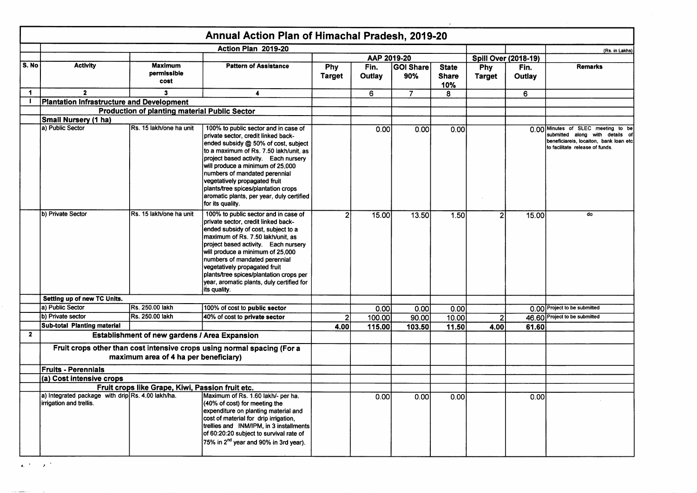|              |                                                                              |                                                      | Annual Action Plan of Himachal Pradesh, 2019-20                                                                                                                                                                                                                                                                                                                                                                     |                      |                |                         |                                     |                             |                |                                                                                                                                                    |
|--------------|------------------------------------------------------------------------------|------------------------------------------------------|---------------------------------------------------------------------------------------------------------------------------------------------------------------------------------------------------------------------------------------------------------------------------------------------------------------------------------------------------------------------------------------------------------------------|----------------------|----------------|-------------------------|-------------------------------------|-----------------------------|----------------|----------------------------------------------------------------------------------------------------------------------------------------------------|
|              |                                                                              |                                                      | Action Plan 2019-20                                                                                                                                                                                                                                                                                                                                                                                                 |                      |                |                         |                                     |                             |                | (Rs. in Lakhs)                                                                                                                                     |
|              |                                                                              |                                                      |                                                                                                                                                                                                                                                                                                                                                                                                                     |                      | AAP 2019-20    |                         |                                     | <b>Spill Over (2018-19)</b> |                |                                                                                                                                                    |
| S. No        | <b>Activity</b>                                                              | <b>Maximum</b><br>permissible<br>cost                | <b>Pattern of Assistance</b>                                                                                                                                                                                                                                                                                                                                                                                        | Phy<br><b>Target</b> | Fin.<br>Outlay | <b>GOI Share</b><br>90% | <b>State</b><br><b>Share</b><br>10% | Phy<br><b>Target</b>        | Fin.<br>Outlay | <b>Remarks</b>                                                                                                                                     |
| $\mathbf 1$  | $\mathbf{2}$                                                                 | 3                                                    | $\overline{\mathbf{4}}$                                                                                                                                                                                                                                                                                                                                                                                             |                      | 6              | $\overline{7}$          | 8                                   |                             | 6              |                                                                                                                                                    |
| $\mathbf{I}$ | <b>Plantation Infrastructure and Development</b>                             |                                                      |                                                                                                                                                                                                                                                                                                                                                                                                                     |                      |                |                         |                                     |                             |                |                                                                                                                                                    |
|              |                                                                              | <b>Production of planting material Public Sector</b> |                                                                                                                                                                                                                                                                                                                                                                                                                     |                      |                |                         |                                     |                             |                |                                                                                                                                                    |
|              | <b>Small Nursery (1 ha)</b>                                                  |                                                      |                                                                                                                                                                                                                                                                                                                                                                                                                     |                      |                |                         |                                     |                             |                |                                                                                                                                                    |
|              | a) Public Sector                                                             | Rs. 15 lakh/one ha unit                              | 100% to public sector and in case of<br>private sector, credit linked back-<br>ended subsidy @ 50% of cost, subject<br>to a maximum of Rs. 7.50 lakh/unit, as<br>project based activity. Each nursery<br>will produce a minimum of 25,000<br>numbers of mandated perennial<br>vegetatively propagated fruit<br>plants/tree spices/plantation crops<br>aromatic plants, per year, duly certified<br>for its quality. |                      | 0.00           | 0.001                   | 0.00                                |                             |                | 0.00 Minutes of SLEC meeting to be<br>submitted along with details of<br>beneficiareis, locaiton, bank loan etc<br>to facilitate release of funds. |
|              | b) Private Sector                                                            | Rs. 15 lakh/one ha unit                              | 100% to public sector and in case of<br>private sector, credit linked back-<br>ended subsidy of cost, subject to a<br>maximum of Rs. 7.50 lakh/unit, as<br>project based activity. Each nursery<br>will produce a minimum of 25,000<br>numbers of mandated perennial<br>vegetatively propagated fruit<br>plants/tree spices/plantation crops per<br>year, aromatic plants, duly certified for<br>its quality.       |                      | 15.00          | 13.50                   | 1.50                                |                             | 15.00          | do                                                                                                                                                 |
|              | Setting up of new TC Units.                                                  |                                                      |                                                                                                                                                                                                                                                                                                                                                                                                                     |                      |                |                         |                                     |                             |                |                                                                                                                                                    |
|              | a) Public Sector                                                             | Rs. 250.00 lakh                                      | 100% of cost to public sector                                                                                                                                                                                                                                                                                                                                                                                       |                      | 0.00           | 0.00                    | 0.00                                |                             |                | 0.00 Project to be submitted                                                                                                                       |
|              | b) Private sector                                                            | Rs. 250.00 lakh                                      | 40% of cost to private sector                                                                                                                                                                                                                                                                                                                                                                                       | $\overline{2}$       | 100.00         | 90.00                   | 10.00                               | $\overline{2}$              |                | 46.60 Project to be submitted                                                                                                                      |
|              | Sub-total Planting material                                                  |                                                      |                                                                                                                                                                                                                                                                                                                                                                                                                     | 4.00                 | 115.00         | 103.50                  | 11.50                               | 4.00                        | 61.60          |                                                                                                                                                    |
| $\mathbf{2}$ |                                                                              | Establishment of new gardens / Area Expansion        |                                                                                                                                                                                                                                                                                                                                                                                                                     |                      |                |                         |                                     |                             |                |                                                                                                                                                    |
|              |                                                                              | maximum area of 4 ha per beneficiary)                | Fruit crops other than cost intensive crops using normal spacing (For a                                                                                                                                                                                                                                                                                                                                             |                      |                |                         |                                     |                             |                |                                                                                                                                                    |
|              | <b>Fruits - Perennials</b>                                                   |                                                      |                                                                                                                                                                                                                                                                                                                                                                                                                     |                      |                |                         |                                     |                             |                |                                                                                                                                                    |
|              | (a) Cost intensive crops                                                     |                                                      |                                                                                                                                                                                                                                                                                                                                                                                                                     |                      |                |                         |                                     |                             |                |                                                                                                                                                    |
|              |                                                                              | Fruit crops like Grape, Kiwi, Passion fruit etc.     |                                                                                                                                                                                                                                                                                                                                                                                                                     |                      |                |                         |                                     |                             |                |                                                                                                                                                    |
|              | a) Integrated package with drip Rs. 4.00 lakh/ha.<br>irrigation and trellis. |                                                      | Maximum of Rs. 1.60 lakh/- per ha.<br>(40% of cost) for meeting the<br>expenditure on planting material and<br>cost of material for drip irrigation,<br>trellies and INM/IPM, in 3 installments<br>of 60:20:20 subject to survival rate of<br>75% in 2 <sup>nd</sup> year and 90% in 3rd year).                                                                                                                     |                      | 0.00           | 0.00                    | 0.00                                |                             | 0.00           |                                                                                                                                                    |

 $\mathbf{q}_i$  ,  $\mathbf{q}_i$  ,  $\mathbf{q}_i$  ,  $\mathbf{q}_i$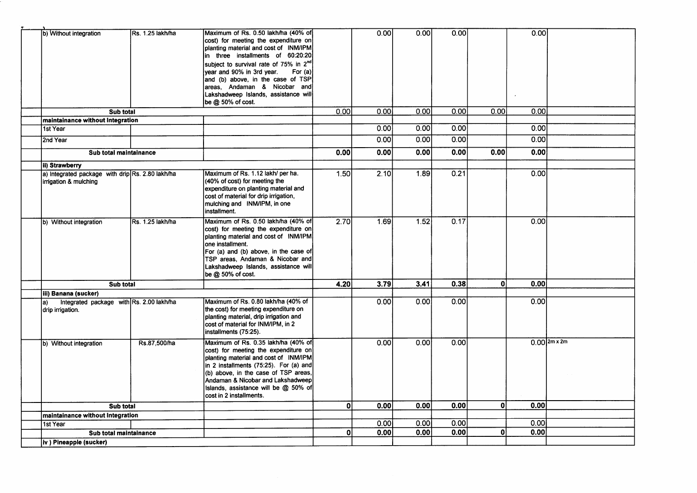| b) Without integration                                                    | Rs. 1.25 lakh/ha | Maximum of Rs. 0.50 lakh/ha (40% of<br>cost) for meeting the expenditure on<br>planting material and cost of INM/IPM<br>in three installments of 60:20:20<br>subject to survival rate of 75% in 2 <sup>nd</sup><br>year and 90% in 3rd year.<br>For (a)<br>and (b) above, in the case of TSP<br>areas, Andaman & Nicobar and<br>Lakshadweep Islands, assistance will<br>be @ 50% of cost. |              | 0.00 | 0.00  | 0.00  |              | 0.00              |                 |
|---------------------------------------------------------------------------|------------------|-------------------------------------------------------------------------------------------------------------------------------------------------------------------------------------------------------------------------------------------------------------------------------------------------------------------------------------------------------------------------------------------|--------------|------|-------|-------|--------------|-------------------|-----------------|
| Sub total                                                                 |                  |                                                                                                                                                                                                                                                                                                                                                                                           | 0.00         | 0.00 | 0.001 | 0.001 | 0.001        | $\overline{0.00}$ |                 |
| maintainance without Integration                                          |                  |                                                                                                                                                                                                                                                                                                                                                                                           |              |      |       |       |              |                   |                 |
| 1st Year                                                                  |                  |                                                                                                                                                                                                                                                                                                                                                                                           |              | 0.00 | 0.00  | 0.00  |              | 0.00              |                 |
| 2nd Year                                                                  |                  |                                                                                                                                                                                                                                                                                                                                                                                           |              | 0.00 | 0.00  | 0.00  |              | 0.00              |                 |
| Sub total maintainance                                                    |                  |                                                                                                                                                                                                                                                                                                                                                                                           | 0.00         | 0.00 | 0.00  | 0.00  | 0.00         | 0.00              |                 |
| ii) Strawberry                                                            |                  |                                                                                                                                                                                                                                                                                                                                                                                           |              |      |       |       |              |                   |                 |
| a) Integrated package with drip Rs. 2.80 lakh/ha<br>irrigation & mulching |                  | Maximum of Rs. 1.12 lakh/ per ha.<br>(40% of cost) for meeting the<br>expenditure on planting material and<br>cost of material for drip irrigation,<br>mulching and INM/IPM, in one<br>installment.                                                                                                                                                                                       | 1.50l        | 2.10 | 1.89  | 0.21  |              | 0.00              |                 |
| b) Without integration                                                    | Rs. 1.25 lakh/ha | Maximum of Rs. 0.50 lakh/ha (40% of<br>cost) for meeting the expenditure on<br>planting material and cost of INM/IPM<br>one installment.<br>For (a) and (b) above, in the case of<br>TSP areas, Andaman & Nicobar and<br>Lakshadweep Islands, assistance will<br>be @ 50% of cost.                                                                                                        | 2.70         | 1.69 | 1.52  | 0.17  |              | 0.00              |                 |
| Sub total                                                                 |                  |                                                                                                                                                                                                                                                                                                                                                                                           | 4.20         | 3.79 | 3.41  | 0.38  | $\mathbf{0}$ | 0.00              |                 |
| iii) Banana (sucker)                                                      |                  |                                                                                                                                                                                                                                                                                                                                                                                           |              |      |       |       |              |                   |                 |
| Integrated package with Rs. 2.00 lakh/ha<br>la)<br>drip irrigation.       |                  | Maximum of Rs. 0.80 lakh/ha (40% of<br>the cost) for meeting expenditure on<br>planting material, drip irrigation and<br>cost of material for INM/IPM, in 2<br>installments (75:25).                                                                                                                                                                                                      |              | 0.00 | 0.00  | 0.00  |              | 0.00              |                 |
| b) Without integration                                                    | Rs.87,500/ha     | Maximum of Rs. 0.35 lakh/ha (40% of<br>cost) for meeting the expenditure on<br>planting material and cost of INM/IPM<br>in 2 installments (75:25). For (a) and<br>(b) above, in the case of TSP areas,<br>Andaman & Nicobar and Lakshadweep<br>Islands, assistance will be @ 50% of<br>cost in 2 installments.                                                                            |              | 0.00 | 0.00  | 0.00  |              |                   | $0.00$  2m x 2m |
| Sub total                                                                 |                  |                                                                                                                                                                                                                                                                                                                                                                                           | $\mathbf{0}$ | 0.00 | 0.00  | 0.00  | 0            | 0.00              |                 |
| maintainance without Integration                                          |                  |                                                                                                                                                                                                                                                                                                                                                                                           |              |      |       |       |              |                   |                 |
| 1st Year                                                                  |                  |                                                                                                                                                                                                                                                                                                                                                                                           |              | 0.00 | 0.00  | 0.00  |              | 0.00              |                 |
| Sub total maintainance                                                    |                  |                                                                                                                                                                                                                                                                                                                                                                                           | Οl           | 0.00 | 0.00  | 0.00  | $\mathbf{0}$ | 0.00              |                 |
| iv ) Pineapple (sucker)                                                   |                  |                                                                                                                                                                                                                                                                                                                                                                                           |              |      |       |       |              |                   |                 |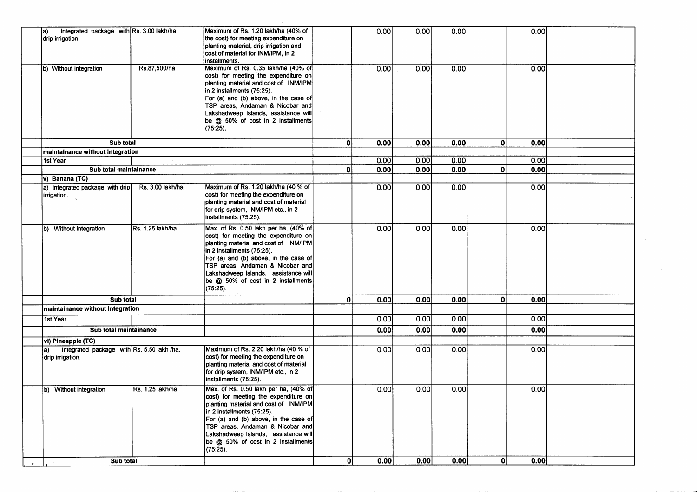| Integrated package with Rs. 3.00 lakh/ha<br>la)<br>drip irrigation.   |                   | Maximum of Rs. 1.20 lakh/ha (40% of<br>the cost) for meeting expenditure on<br>planting material, drip irrigation and<br>cost of material for INM/IPM, in 2<br>installments.                                                                                                                                                   |    | 0.00 | 0.00 | 0.00 | 0.00                |  |
|-----------------------------------------------------------------------|-------------------|--------------------------------------------------------------------------------------------------------------------------------------------------------------------------------------------------------------------------------------------------------------------------------------------------------------------------------|----|------|------|------|---------------------|--|
| b) Without integration                                                | Rs.87,500/ha      | Maximum of Rs. 0.35 lakh/ha (40% of<br>cost) for meeting the expenditure on<br>planting material and cost of INM/IPM<br>in 2 installments (75:25).<br>For (a) and (b) above, in the case of<br>TSP areas, Andaman & Nicobar and<br>Lakshadweep Islands, assistance will<br>be @ 50% of cost in 2 installments<br>(75:25).      |    | 0.00 | 0.00 | 0.00 | 0.00                |  |
| Sub total                                                             |                   |                                                                                                                                                                                                                                                                                                                                | Οl | 0.00 | 0.00 | 0.00 | 0<br>0.00           |  |
| maintainance without Integration                                      |                   |                                                                                                                                                                                                                                                                                                                                |    |      |      |      |                     |  |
| 1st Year                                                              |                   |                                                                                                                                                                                                                                                                                                                                |    | 0.00 | 0.00 | 0.00 | 0.00                |  |
| Sub total maintainance                                                |                   |                                                                                                                                                                                                                                                                                                                                | 0  | 0.00 | 0.00 | 0.00 | 0.00<br>$\mathbf 0$ |  |
| v) Banana (TC)                                                        |                   |                                                                                                                                                                                                                                                                                                                                |    |      |      |      |                     |  |
| a) Integrated package with drip<br>irrigation.                        | Rs. 3.00 lakh/ha  | Maximum of Rs. 1.20 lakh/ha (40 % of<br>cost) for meeting the expenditure on<br>planting material and cost of material<br>for drip system, INM/IPM etc., in 2<br>installments (75:25).                                                                                                                                         |    | 0.00 | 0.00 | 0.00 | 0.00                |  |
| b) Without integration                                                | Rs. 1.25 lakh/ha. | Max. of Rs. 0.50 lakh per ha, (40% of<br>cost) for meeting the expenditure on<br>planting material and cost of INM/IPM<br>in 2 installments (75:25).<br>For (a) and (b) above, in the case of<br>TSP areas, Andaman & Nicobar and<br>Lakshadweep Islands, assistance will<br>be @ 50% of cost in 2 installments<br>(75:25).    |    | 0.00 | 0.00 | 0.00 | 0.00                |  |
| Sub total                                                             |                   |                                                                                                                                                                                                                                                                                                                                | 0  | 0.00 | 0.00 | 0.00 | 0.00<br>ΩI          |  |
| maintainance without Integration                                      |                   |                                                                                                                                                                                                                                                                                                                                |    |      |      |      |                     |  |
| 1st Year                                                              |                   |                                                                                                                                                                                                                                                                                                                                |    | 0.00 | 0.00 | 0.00 | 0.00                |  |
| Sub total maintainance                                                |                   |                                                                                                                                                                                                                                                                                                                                |    | 0.00 | 0.00 | 0.00 | 0.00                |  |
| vi) Pineapple (TC)                                                    |                   |                                                                                                                                                                                                                                                                                                                                |    |      |      |      |                     |  |
| Integrated package with Rs. 5.50 lakh /ha.<br>la)<br>drip irrigation. |                   | Maximum of Rs. 2.20 lakh/ha (40 % of<br>cost) for meeting the expenditure on<br>planting material and cost of material<br>for drip system, INM/IPM etc., in 2<br>installments (75:25).                                                                                                                                         |    | 0.00 | 0.00 | 0.00 | 0.00                |  |
| b) Without integration                                                | Rs. 1.25 lakh/ha. | Max. of Rs. 0.50 lakh per ha, (40% of<br>cost) for meeting the expenditure on<br>planting material and cost of INM/IPM<br>in 2 installments (75:25).<br>For (a) and (b) above, in the case of<br>TSP areas, Andaman & Nicobar and<br>Lakshadweep Islands, assistance will<br>be @ 50% of cost in 2 installments<br>$(75:25)$ . |    | 0.00 | 0.00 | 0.00 | 0.00                |  |
| Sub total                                                             |                   |                                                                                                                                                                                                                                                                                                                                | 0l | 0.00 | 0.00 | 0.00 | 0.00<br>οl          |  |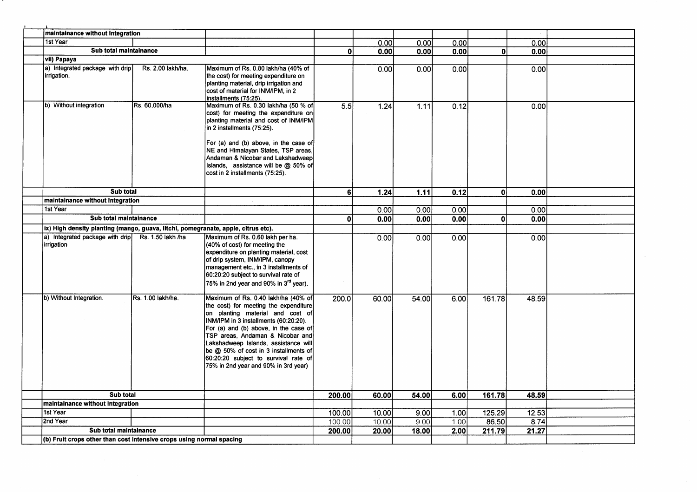| maintainance without Integration                                                  |                   |                                                                                                                                                                                                                                                                                                                                                                                                         |              |       |                   |      |              |       |  |
|-----------------------------------------------------------------------------------|-------------------|---------------------------------------------------------------------------------------------------------------------------------------------------------------------------------------------------------------------------------------------------------------------------------------------------------------------------------------------------------------------------------------------------------|--------------|-------|-------------------|------|--------------|-------|--|
| 1st Year                                                                          |                   |                                                                                                                                                                                                                                                                                                                                                                                                         |              | 0.00  | 0.001             | 0.00 |              | 0.00  |  |
| Sub total maintainance                                                            |                   |                                                                                                                                                                                                                                                                                                                                                                                                         | $\mathbf{0}$ | 0.00  | 0.00              | 0.00 | 0l           | 0.00  |  |
| vii) Papaya                                                                       |                   |                                                                                                                                                                                                                                                                                                                                                                                                         |              |       |                   |      |              |       |  |
| a) Integrated package with drip<br>lirrigation.                                   | Rs. 2.00 lakh/ha. | Maximum of Rs. 0.80 lakh/ha (40% of<br>the cost) for meeting expenditure on<br>planting material, drip irrigation and<br>cost of material for INM/IPM, in 2<br>installments (75:25).                                                                                                                                                                                                                    |              | 0.00  | 0.00              | 0.00 |              | 0.00  |  |
| b) Without integration                                                            | Rs. 60,000/ha     | Maximum of Rs. 0.30 lakh/ha (50 % of<br>cost) for meeting the expenditure on<br>planting material and cost of INM/IPM<br>in 2 installments (75:25).<br>For (a) and (b) above, in the case of<br>NE and Himalayan States, TSP areas,<br>Andaman & Nicobar and Lakshadweep<br>Islands, assistance will be @ 50% of<br>cost in 2 installments (75:25).                                                     | 5.5          | 1.24  | 1.11              | 0.12 |              | 0.00  |  |
| Sub total                                                                         |                   |                                                                                                                                                                                                                                                                                                                                                                                                         | 6I           | 1.24  | $\overline{1.11}$ | 0.12 | $\mathbf{0}$ | 0.00  |  |
| maintainance without Integration                                                  |                   |                                                                                                                                                                                                                                                                                                                                                                                                         |              |       |                   |      |              |       |  |
| 1st Year                                                                          |                   |                                                                                                                                                                                                                                                                                                                                                                                                         |              | 0.00  | 0.00              | 0.00 |              | 0.00  |  |
| Sub total maintainance                                                            |                   |                                                                                                                                                                                                                                                                                                                                                                                                         | 0            | 0.00  | 0.00              | 0.00 | $\Omega$     | 0.00  |  |
| ix) High density planting (mango, guava, litchi, pomegranate, apple, citrus etc). |                   |                                                                                                                                                                                                                                                                                                                                                                                                         |              |       |                   |      |              |       |  |
| a) Integrated package with drip<br>irrigation                                     | Rs. 1.50 lakh /ha | Maximum of Rs. 0.60 lakh per ha.<br>(40% of cost) for meeting the<br>expenditure on planting material, cost<br>of drip system, INM/IPM, canopy<br>management etc., in 3 installments of<br>60:20:20 subject to survival rate of<br>75% in 2nd year and 90% in 3 <sup>rd</sup> year).                                                                                                                    |              | 0.00  | 0.00              | 0.00 |              | 0.00  |  |
| b) Without Integration.                                                           | Rs. 1.00 lakh/ha. | Maximum of Rs. 0.40 lakh/ha (40% of<br>the cost) for meeting the expenditure<br>on planting material and cost of<br>INM/IPM in 3 installments (60:20:20).<br>For (a) and (b) above, in the case of<br>TSP areas, Andaman & Nicobar and<br>Lakshadweep Islands, assistance will<br>be @ 50% of cost in 3 installments of<br>60:20:20 subject to survival rate of<br>75% in 2nd year and 90% in 3rd year) | 200.0        | 60.00 | 54.00             | 6.00 | 161.78       | 48.59 |  |
| Sub total                                                                         |                   |                                                                                                                                                                                                                                                                                                                                                                                                         | 200.00       | 60.00 | 54.00             | 6.00 | 161.78       | 48.59 |  |
| maintainance without Integration                                                  |                   |                                                                                                                                                                                                                                                                                                                                                                                                         |              |       |                   |      |              |       |  |
| 1st Year                                                                          |                   |                                                                                                                                                                                                                                                                                                                                                                                                         | 100.00       | 10.00 | 9.001             | 1.00 | 125.29       | 12.53 |  |
| 2nd Year                                                                          |                   |                                                                                                                                                                                                                                                                                                                                                                                                         | 100.00       | 10.00 | 9.00              | 1.00 | 86.50        | 8.74  |  |
| Sub total maintainance                                                            |                   |                                                                                                                                                                                                                                                                                                                                                                                                         | 200.00       | 20.00 | 18.00             | 2.00 | 211.79       | 21.27 |  |
|                                                                                   |                   |                                                                                                                                                                                                                                                                                                                                                                                                         |              |       |                   |      |              |       |  |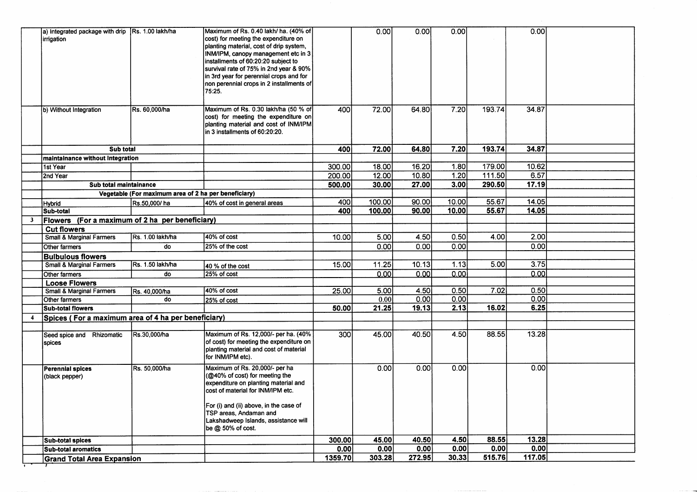| 64.80<br>34.87<br>Sub total<br>400<br>maintainance without Integration<br>179.00<br>16.20<br>1.80<br>10.62<br>300.00<br>18.00<br>1st Year<br>6.57<br>12.00<br>10.80<br>1.20<br>111.50<br>200.00<br>2nd Year<br>290.50<br>17.19<br>27.00<br>3.00<br>Sub total maintainance<br>30.00<br>500.00<br>Vegetable (For maximum area of 2 ha per beneficiary)<br>100.00<br>10.00<br>55.67<br>14.05<br>400<br>90.00<br>Rs.50,000/ha<br>40% of cost in general areas<br><b>Hybrid</b><br>55.67<br>14.05<br>400<br>100.00<br>90.00<br>10.00<br> Sub-total<br>Flowers (For a maximum of 2 ha per beneficiary)<br>3 <sup>7</sup><br><b>Cut flowers</b><br>40% of cost<br>0.50<br>4.00<br>2.00<br>Rs. 1.00 lakh/ha<br>4.50<br><b>Small &amp; Marginal Farmers</b><br>10.00<br>5.00<br>0.00<br>0.00<br>0.00<br>25% of the cost<br>0.00<br>do<br>Other farmers<br><b>Bulbulous flowers</b><br>3.75<br>15.00<br>11.25<br>10.13<br>1.13<br>5.00<br><b>Small &amp; Marginal Farmers</b><br>Rs. 1.50 lakh/ha<br>40 % of the cost<br>0.00<br>0.00<br>0.00<br>25% of cost<br>0.00<br>Other farmers<br>do<br><b>Loose Flowers</b><br>40% of cost<br>0.50<br>7.02<br>0.50<br><b>Small &amp; Marginal Farmers</b><br>25.00<br>5.00<br>4.50<br>Rs. 40,000/ha<br>0.00<br>0.00<br>0.00<br>Other farmers<br>do<br>0.00<br>25% of cost<br>6.25<br>19.13<br>2.13<br>21.25<br>16.02<br>50.00<br><b>Sub-total flowers</b><br>Spices (For a maximum area of 4 ha per beneficiary)<br>$\overline{\mathbf{4}}$<br>40.50<br>4.50<br>88.55<br>13.28<br>Maximum of Rs. 12,000/- per ha. (40%<br>300<br>Seed spice and Rhizomatic<br>Rs.30,000/ha<br>45.00<br>of cost) for meeting the expenditure on<br>spices<br>planting material and cost of material<br>for INM/IPM etc).<br>Maximum of Rs. 20,000/- per ha<br>0.00<br>0.00<br>0.00<br>0.00<br>Rs. 50,000/ha<br><b>Perennial spices</b><br>(@40% of cost) for meeting the<br>(black pepper)<br>expenditure on planting material and<br>cost of material for INM/IPM etc.<br>For (i) and (ii) above, in the case of<br>TSP areas. Andaman and<br>Lakshadweep Islands, assistance will<br>be $@$ 50% of cost.<br>88.55<br>13.28<br>40.50<br>4.50<br>300.00<br>45.00<br><b>Sub-total spices</b><br>0.00<br>0.00<br>0.00<br>0.00<br>0.00<br>0.00<br><b>Sub-total aromatics</b><br>272.95<br>30.33<br>515.76<br>117.05<br>1359.70<br>303.28<br><b>Grand Total Area Expansion</b> | a) integrated package with drip   Rs. 1.00 lakh/ha<br>irrigation<br>b) Without Integration | Rs. 60,000/ha | Maximum of Rs. 0.40 lakh/ ha. (40% of<br>cost) for meeting the expenditure on<br>planting material, cost of drip system,<br>INM/IPM, canopy management etc in 3<br>installments of 60:20:20 subject to<br>survival rate of 75% in 2nd year & 90%<br>in 3rd year for perennial crops and for<br>non perennial crops in 2 installments of<br>75:25.<br>Maximum of Rs. 0.30 lakh/ha (50 % of<br>cost) for meeting the expenditure on<br>planting material and cost of INM/IPM<br>in 3 installments of 60:20:20. | 400 | 0.00<br>72.00 | 0.00<br>64.80 | 0.00<br>7.20 | 193.74 | 0.00<br>34.87 |  |
|-----------------------------------------------------------------------------------------------------------------------------------------------------------------------------------------------------------------------------------------------------------------------------------------------------------------------------------------------------------------------------------------------------------------------------------------------------------------------------------------------------------------------------------------------------------------------------------------------------------------------------------------------------------------------------------------------------------------------------------------------------------------------------------------------------------------------------------------------------------------------------------------------------------------------------------------------------------------------------------------------------------------------------------------------------------------------------------------------------------------------------------------------------------------------------------------------------------------------------------------------------------------------------------------------------------------------------------------------------------------------------------------------------------------------------------------------------------------------------------------------------------------------------------------------------------------------------------------------------------------------------------------------------------------------------------------------------------------------------------------------------------------------------------------------------------------------------------------------------------------------------------------------------------------------------------------------------------------------------------------------------------------------------------------------------------------------------------------------------------------------------------------------------------------------------------------------------------------------------------------------------------------------------------------------------------------------------------------------------------------------------------------|--------------------------------------------------------------------------------------------|---------------|--------------------------------------------------------------------------------------------------------------------------------------------------------------------------------------------------------------------------------------------------------------------------------------------------------------------------------------------------------------------------------------------------------------------------------------------------------------------------------------------------------------|-----|---------------|---------------|--------------|--------|---------------|--|
|                                                                                                                                                                                                                                                                                                                                                                                                                                                                                                                                                                                                                                                                                                                                                                                                                                                                                                                                                                                                                                                                                                                                                                                                                                                                                                                                                                                                                                                                                                                                                                                                                                                                                                                                                                                                                                                                                                                                                                                                                                                                                                                                                                                                                                                                                                                                                                                         |                                                                                            |               |                                                                                                                                                                                                                                                                                                                                                                                                                                                                                                              |     | 72.00         |               | 7.20         | 193.74 |               |  |
|                                                                                                                                                                                                                                                                                                                                                                                                                                                                                                                                                                                                                                                                                                                                                                                                                                                                                                                                                                                                                                                                                                                                                                                                                                                                                                                                                                                                                                                                                                                                                                                                                                                                                                                                                                                                                                                                                                                                                                                                                                                                                                                                                                                                                                                                                                                                                                                         |                                                                                            |               |                                                                                                                                                                                                                                                                                                                                                                                                                                                                                                              |     |               |               |              |        |               |  |
|                                                                                                                                                                                                                                                                                                                                                                                                                                                                                                                                                                                                                                                                                                                                                                                                                                                                                                                                                                                                                                                                                                                                                                                                                                                                                                                                                                                                                                                                                                                                                                                                                                                                                                                                                                                                                                                                                                                                                                                                                                                                                                                                                                                                                                                                                                                                                                                         |                                                                                            |               |                                                                                                                                                                                                                                                                                                                                                                                                                                                                                                              |     |               |               |              |        |               |  |
|                                                                                                                                                                                                                                                                                                                                                                                                                                                                                                                                                                                                                                                                                                                                                                                                                                                                                                                                                                                                                                                                                                                                                                                                                                                                                                                                                                                                                                                                                                                                                                                                                                                                                                                                                                                                                                                                                                                                                                                                                                                                                                                                                                                                                                                                                                                                                                                         |                                                                                            |               |                                                                                                                                                                                                                                                                                                                                                                                                                                                                                                              |     |               |               |              |        |               |  |
|                                                                                                                                                                                                                                                                                                                                                                                                                                                                                                                                                                                                                                                                                                                                                                                                                                                                                                                                                                                                                                                                                                                                                                                                                                                                                                                                                                                                                                                                                                                                                                                                                                                                                                                                                                                                                                                                                                                                                                                                                                                                                                                                                                                                                                                                                                                                                                                         |                                                                                            |               |                                                                                                                                                                                                                                                                                                                                                                                                                                                                                                              |     |               |               |              |        |               |  |
|                                                                                                                                                                                                                                                                                                                                                                                                                                                                                                                                                                                                                                                                                                                                                                                                                                                                                                                                                                                                                                                                                                                                                                                                                                                                                                                                                                                                                                                                                                                                                                                                                                                                                                                                                                                                                                                                                                                                                                                                                                                                                                                                                                                                                                                                                                                                                                                         |                                                                                            |               |                                                                                                                                                                                                                                                                                                                                                                                                                                                                                                              |     |               |               |              |        |               |  |
|                                                                                                                                                                                                                                                                                                                                                                                                                                                                                                                                                                                                                                                                                                                                                                                                                                                                                                                                                                                                                                                                                                                                                                                                                                                                                                                                                                                                                                                                                                                                                                                                                                                                                                                                                                                                                                                                                                                                                                                                                                                                                                                                                                                                                                                                                                                                                                                         |                                                                                            |               |                                                                                                                                                                                                                                                                                                                                                                                                                                                                                                              |     |               |               |              |        |               |  |
|                                                                                                                                                                                                                                                                                                                                                                                                                                                                                                                                                                                                                                                                                                                                                                                                                                                                                                                                                                                                                                                                                                                                                                                                                                                                                                                                                                                                                                                                                                                                                                                                                                                                                                                                                                                                                                                                                                                                                                                                                                                                                                                                                                                                                                                                                                                                                                                         |                                                                                            |               |                                                                                                                                                                                                                                                                                                                                                                                                                                                                                                              |     |               |               |              |        |               |  |
|                                                                                                                                                                                                                                                                                                                                                                                                                                                                                                                                                                                                                                                                                                                                                                                                                                                                                                                                                                                                                                                                                                                                                                                                                                                                                                                                                                                                                                                                                                                                                                                                                                                                                                                                                                                                                                                                                                                                                                                                                                                                                                                                                                                                                                                                                                                                                                                         |                                                                                            |               |                                                                                                                                                                                                                                                                                                                                                                                                                                                                                                              |     |               |               |              |        |               |  |
|                                                                                                                                                                                                                                                                                                                                                                                                                                                                                                                                                                                                                                                                                                                                                                                                                                                                                                                                                                                                                                                                                                                                                                                                                                                                                                                                                                                                                                                                                                                                                                                                                                                                                                                                                                                                                                                                                                                                                                                                                                                                                                                                                                                                                                                                                                                                                                                         |                                                                                            |               |                                                                                                                                                                                                                                                                                                                                                                                                                                                                                                              |     |               |               |              |        |               |  |
|                                                                                                                                                                                                                                                                                                                                                                                                                                                                                                                                                                                                                                                                                                                                                                                                                                                                                                                                                                                                                                                                                                                                                                                                                                                                                                                                                                                                                                                                                                                                                                                                                                                                                                                                                                                                                                                                                                                                                                                                                                                                                                                                                                                                                                                                                                                                                                                         |                                                                                            |               |                                                                                                                                                                                                                                                                                                                                                                                                                                                                                                              |     |               |               |              |        |               |  |
|                                                                                                                                                                                                                                                                                                                                                                                                                                                                                                                                                                                                                                                                                                                                                                                                                                                                                                                                                                                                                                                                                                                                                                                                                                                                                                                                                                                                                                                                                                                                                                                                                                                                                                                                                                                                                                                                                                                                                                                                                                                                                                                                                                                                                                                                                                                                                                                         |                                                                                            |               |                                                                                                                                                                                                                                                                                                                                                                                                                                                                                                              |     |               |               |              |        |               |  |
|                                                                                                                                                                                                                                                                                                                                                                                                                                                                                                                                                                                                                                                                                                                                                                                                                                                                                                                                                                                                                                                                                                                                                                                                                                                                                                                                                                                                                                                                                                                                                                                                                                                                                                                                                                                                                                                                                                                                                                                                                                                                                                                                                                                                                                                                                                                                                                                         |                                                                                            |               |                                                                                                                                                                                                                                                                                                                                                                                                                                                                                                              |     |               |               |              |        |               |  |
|                                                                                                                                                                                                                                                                                                                                                                                                                                                                                                                                                                                                                                                                                                                                                                                                                                                                                                                                                                                                                                                                                                                                                                                                                                                                                                                                                                                                                                                                                                                                                                                                                                                                                                                                                                                                                                                                                                                                                                                                                                                                                                                                                                                                                                                                                                                                                                                         |                                                                                            |               |                                                                                                                                                                                                                                                                                                                                                                                                                                                                                                              |     |               |               |              |        |               |  |
|                                                                                                                                                                                                                                                                                                                                                                                                                                                                                                                                                                                                                                                                                                                                                                                                                                                                                                                                                                                                                                                                                                                                                                                                                                                                                                                                                                                                                                                                                                                                                                                                                                                                                                                                                                                                                                                                                                                                                                                                                                                                                                                                                                                                                                                                                                                                                                                         |                                                                                            |               |                                                                                                                                                                                                                                                                                                                                                                                                                                                                                                              |     |               |               |              |        |               |  |
|                                                                                                                                                                                                                                                                                                                                                                                                                                                                                                                                                                                                                                                                                                                                                                                                                                                                                                                                                                                                                                                                                                                                                                                                                                                                                                                                                                                                                                                                                                                                                                                                                                                                                                                                                                                                                                                                                                                                                                                                                                                                                                                                                                                                                                                                                                                                                                                         |                                                                                            |               |                                                                                                                                                                                                                                                                                                                                                                                                                                                                                                              |     |               |               |              |        |               |  |
|                                                                                                                                                                                                                                                                                                                                                                                                                                                                                                                                                                                                                                                                                                                                                                                                                                                                                                                                                                                                                                                                                                                                                                                                                                                                                                                                                                                                                                                                                                                                                                                                                                                                                                                                                                                                                                                                                                                                                                                                                                                                                                                                                                                                                                                                                                                                                                                         |                                                                                            |               |                                                                                                                                                                                                                                                                                                                                                                                                                                                                                                              |     |               |               |              |        |               |  |
|                                                                                                                                                                                                                                                                                                                                                                                                                                                                                                                                                                                                                                                                                                                                                                                                                                                                                                                                                                                                                                                                                                                                                                                                                                                                                                                                                                                                                                                                                                                                                                                                                                                                                                                                                                                                                                                                                                                                                                                                                                                                                                                                                                                                                                                                                                                                                                                         |                                                                                            |               |                                                                                                                                                                                                                                                                                                                                                                                                                                                                                                              |     |               |               |              |        |               |  |
|                                                                                                                                                                                                                                                                                                                                                                                                                                                                                                                                                                                                                                                                                                                                                                                                                                                                                                                                                                                                                                                                                                                                                                                                                                                                                                                                                                                                                                                                                                                                                                                                                                                                                                                                                                                                                                                                                                                                                                                                                                                                                                                                                                                                                                                                                                                                                                                         |                                                                                            |               |                                                                                                                                                                                                                                                                                                                                                                                                                                                                                                              |     |               |               |              |        |               |  |
|                                                                                                                                                                                                                                                                                                                                                                                                                                                                                                                                                                                                                                                                                                                                                                                                                                                                                                                                                                                                                                                                                                                                                                                                                                                                                                                                                                                                                                                                                                                                                                                                                                                                                                                                                                                                                                                                                                                                                                                                                                                                                                                                                                                                                                                                                                                                                                                         |                                                                                            |               |                                                                                                                                                                                                                                                                                                                                                                                                                                                                                                              |     |               |               |              |        |               |  |
|                                                                                                                                                                                                                                                                                                                                                                                                                                                                                                                                                                                                                                                                                                                                                                                                                                                                                                                                                                                                                                                                                                                                                                                                                                                                                                                                                                                                                                                                                                                                                                                                                                                                                                                                                                                                                                                                                                                                                                                                                                                                                                                                                                                                                                                                                                                                                                                         |                                                                                            |               |                                                                                                                                                                                                                                                                                                                                                                                                                                                                                                              |     |               |               |              |        |               |  |
|                                                                                                                                                                                                                                                                                                                                                                                                                                                                                                                                                                                                                                                                                                                                                                                                                                                                                                                                                                                                                                                                                                                                                                                                                                                                                                                                                                                                                                                                                                                                                                                                                                                                                                                                                                                                                                                                                                                                                                                                                                                                                                                                                                                                                                                                                                                                                                                         |                                                                                            |               |                                                                                                                                                                                                                                                                                                                                                                                                                                                                                                              |     |               |               |              |        |               |  |
|                                                                                                                                                                                                                                                                                                                                                                                                                                                                                                                                                                                                                                                                                                                                                                                                                                                                                                                                                                                                                                                                                                                                                                                                                                                                                                                                                                                                                                                                                                                                                                                                                                                                                                                                                                                                                                                                                                                                                                                                                                                                                                                                                                                                                                                                                                                                                                                         |                                                                                            |               |                                                                                                                                                                                                                                                                                                                                                                                                                                                                                                              |     |               |               |              |        |               |  |
|                                                                                                                                                                                                                                                                                                                                                                                                                                                                                                                                                                                                                                                                                                                                                                                                                                                                                                                                                                                                                                                                                                                                                                                                                                                                                                                                                                                                                                                                                                                                                                                                                                                                                                                                                                                                                                                                                                                                                                                                                                                                                                                                                                                                                                                                                                                                                                                         |                                                                                            |               |                                                                                                                                                                                                                                                                                                                                                                                                                                                                                                              |     |               |               |              |        |               |  |
|                                                                                                                                                                                                                                                                                                                                                                                                                                                                                                                                                                                                                                                                                                                                                                                                                                                                                                                                                                                                                                                                                                                                                                                                                                                                                                                                                                                                                                                                                                                                                                                                                                                                                                                                                                                                                                                                                                                                                                                                                                                                                                                                                                                                                                                                                                                                                                                         |                                                                                            |               |                                                                                                                                                                                                                                                                                                                                                                                                                                                                                                              |     |               |               |              |        |               |  |
|                                                                                                                                                                                                                                                                                                                                                                                                                                                                                                                                                                                                                                                                                                                                                                                                                                                                                                                                                                                                                                                                                                                                                                                                                                                                                                                                                                                                                                                                                                                                                                                                                                                                                                                                                                                                                                                                                                                                                                                                                                                                                                                                                                                                                                                                                                                                                                                         |                                                                                            |               |                                                                                                                                                                                                                                                                                                                                                                                                                                                                                                              |     |               |               |              |        |               |  |
|                                                                                                                                                                                                                                                                                                                                                                                                                                                                                                                                                                                                                                                                                                                                                                                                                                                                                                                                                                                                                                                                                                                                                                                                                                                                                                                                                                                                                                                                                                                                                                                                                                                                                                                                                                                                                                                                                                                                                                                                                                                                                                                                                                                                                                                                                                                                                                                         |                                                                                            |               |                                                                                                                                                                                                                                                                                                                                                                                                                                                                                                              |     |               |               |              |        |               |  |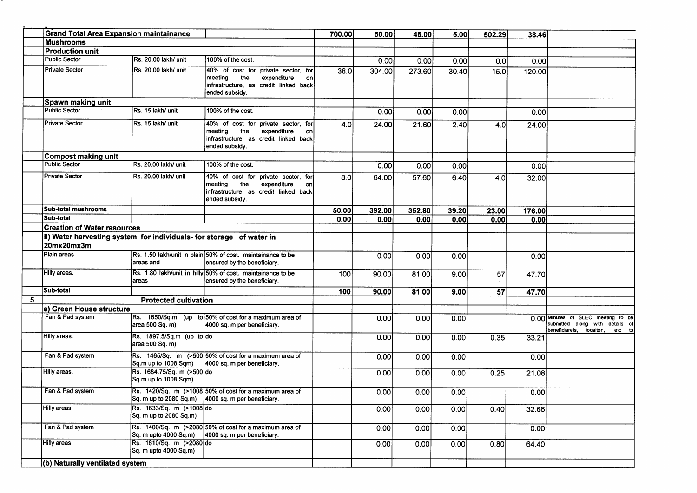|   | <b>Grand Total Area Expansion maintainance</b>                                     |                                                    |                                                                                                                                       | 700.00 | 50.00  | 45.00  | 5.00  | 502.29          | 38.46  |                                                                                                             |
|---|------------------------------------------------------------------------------------|----------------------------------------------------|---------------------------------------------------------------------------------------------------------------------------------------|--------|--------|--------|-------|-----------------|--------|-------------------------------------------------------------------------------------------------------------|
|   | <b>Mushrooms</b>                                                                   |                                                    |                                                                                                                                       |        |        |        |       |                 |        |                                                                                                             |
|   | <b>Production unit</b>                                                             |                                                    |                                                                                                                                       |        |        |        |       |                 |        |                                                                                                             |
|   | <b>Public Sector</b>                                                               | Rs. 20.00 lakh/ unit                               | 100% of the cost.                                                                                                                     |        | 0.00   | 0.00   | 0.00  | 0.0             | 0.00   |                                                                                                             |
|   | Private Sector                                                                     | Rs. 20.00 lakh/ unit                               | 40% of cost for private sector, for<br>the<br>meeting<br>expenditure<br>on<br>infrastructure, as credit linked back<br>ended subsidy. | 38.0   | 304.00 | 273.60 | 30.40 | 15.0            | 120.00 |                                                                                                             |
|   | Spawn making unit                                                                  |                                                    |                                                                                                                                       |        |        |        |       |                 |        |                                                                                                             |
|   | <b>Public Sector</b>                                                               | Rs. 15 lakh/ unit                                  | 100% of the cost.                                                                                                                     |        | 0.00   | 0.00   | 0.00  |                 | 0.00   |                                                                                                             |
|   | <b>Private Sector</b>                                                              | Rs. 15 lakh/ unit                                  | 40% of cost for private sector, for<br>the<br>expenditure<br>meeting<br>on<br>infrastructure, as credit linked back<br>ended subsidy. | 4.0    | 24.00  | 21.60  | 2.40  | 4.0             | 24.00  |                                                                                                             |
|   | Compost making unit                                                                |                                                    |                                                                                                                                       |        |        |        |       |                 |        |                                                                                                             |
|   | <b>Public Sector</b>                                                               | IRs. 20.00 lakh/ unit                              | 100% of the cost.                                                                                                                     |        | 0.00   | 0.00   | 0.00  |                 | 0.001  |                                                                                                             |
|   | <b>Private Sector</b>                                                              | Rs. 20.00 lakh/ unit                               | 40% of cost for private sector, for<br>meeting the<br>expenditure<br>on<br>infrastructure, as credit linked back<br>ended subsidy.    | 8.0    | 64.00  | 57.60  | 6.40  | 4.0             | 32.00  |                                                                                                             |
|   | <b>Sub-total mushrooms</b>                                                         |                                                    |                                                                                                                                       | 50.00  | 392.00 | 352.80 | 39.20 | 23.00           | 176.00 |                                                                                                             |
|   | Sub-total                                                                          |                                                    |                                                                                                                                       | 0.00   | 0.00   | 0.00   | 0.00  | 0.00            | 0.00   |                                                                                                             |
|   | <b>Creation of Water resources</b>                                                 |                                                    |                                                                                                                                       |        |        |        |       |                 |        |                                                                                                             |
|   | ii) Water harvesting system for individuals- for storage of water in<br>20mx20mx3m |                                                    |                                                                                                                                       |        |        |        |       |                 |        |                                                                                                             |
|   | Plain areas                                                                        | areas and                                          | Rs. 1.50 lakh/unit in plain 50% of cost. maintainance to be<br>ensured by the beneficiary.                                            |        | 0.00   | 0.00   | 0.00  |                 | 0.00   |                                                                                                             |
|   | Hilly areas.                                                                       | areas                                              | Rs. 1.80 lakh/unit in hilly 50% of cost. maintainance to be<br>ensured by the beneficiary.                                            | 100    | 90.00  | 81.00  | 9.00  | $\overline{57}$ | 47.70  |                                                                                                             |
|   | Sub-total                                                                          |                                                    |                                                                                                                                       | 100    | 90.00  | 81.00  | 9.00  | 57              | 47.70  |                                                                                                             |
| 5 |                                                                                    | <b>Protected cultivation</b>                       |                                                                                                                                       |        |        |        |       |                 |        |                                                                                                             |
|   | a) Green House structure                                                           |                                                    |                                                                                                                                       |        |        |        |       |                 |        |                                                                                                             |
|   | Fan & Pad system                                                                   | area 500 Sq. m)                                    | Rs. 1650/Sq.m (up to 50% of cost for a maximum area of<br>4000 sq. m per beneficiary.                                                 |        | 0.00   | 0.00   | 0.00  |                 |        | 0.00 Minutes of SLEC meeting to be<br>submitted along with details of<br>beneficiareis, locaiton,<br>etc to |
|   | Hilly areas.                                                                       | Rs. 1897.5/Sq.m (up to do<br>area 500 Sq. m)       |                                                                                                                                       |        | 0.00   | 0.001  | 0.00  | 0.35            | 33.21  |                                                                                                             |
|   | Fan & Pad system                                                                   | Sq.m up to 1008 Sqm)                               | Rs. 1465/Sq. m (>500 50% of cost for a maximum area of<br>4000 sq. m per beneficiary.                                                 |        | 0.00   | 0.00   | 0.00  |                 | 0.00   |                                                                                                             |
|   | Hilly areas.                                                                       | Rs. 1684.75/Sq. m (>500 do<br>Sq.m up to 1008 Sqm) |                                                                                                                                       |        | 0.00   | 0.00   | 0.001 | 0.25            | 21.08  |                                                                                                             |
|   | Fan & Pad system                                                                   |                                                    | Rs. 1420/Sq. m (>1008 50% of cost for a maximum area of<br>Sq. m up to 2080 Sq.m) 4000 sq. m per beneficiary.                         |        | 0.00   | 0.00   | 0.00  |                 | 0.00   |                                                                                                             |
|   | Hilly areas.                                                                       | Rs. 1633/Sq. m (>1008 do<br>Sq. m up to 2080 Sq.m) |                                                                                                                                       |        | 0.00   | 0.00   | 0.00  | 0.40            | 32.66  |                                                                                                             |
|   | Fan & Pad system                                                                   |                                                    | Rs. 1400/Sq. m (>2080 50% of cost for a maximum area of<br>$ $ Sq. m upto 4000 Sq.m $ $ 4000 sq. m per beneficiary.                   |        | 0.00   | 0.00   | 0.00  |                 | 0.00   |                                                                                                             |
|   | Hilly areas.                                                                       | Rs. 1610/Sq. m (>2080 do<br>Sq. m upto 4000 Sq.m)  |                                                                                                                                       |        | 0.00   | 0.00   | 0.00  | 0.80            | 64.40  |                                                                                                             |
|   | (b) Naturally ventilated system                                                    |                                                    |                                                                                                                                       |        |        |        |       |                 |        |                                                                                                             |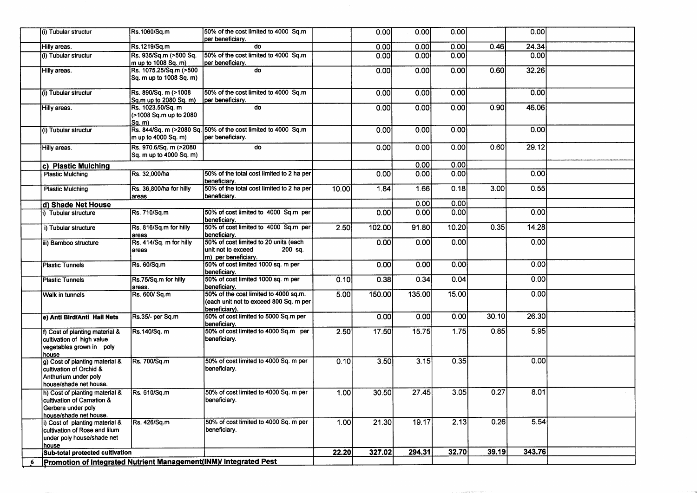|   | (i) Tubular structur                                                                                          | Rs.1060/Sq.m                                            | 50% of the cost limited to 4000 Sq.m<br>per beneficiary.                                         |       | 0.00   | 0.00   | 0.00  |       | 0.00   |  |
|---|---------------------------------------------------------------------------------------------------------------|---------------------------------------------------------|--------------------------------------------------------------------------------------------------|-------|--------|--------|-------|-------|--------|--|
|   | Hilly areas.                                                                                                  | Rs.1219/Sq.m                                            | do                                                                                               |       | 0.00   | 0.00   | 0.00  | 0.46  | 24.34  |  |
|   | (i) Tubular structur                                                                                          | Rs. 935/Sq.m (>500 Sq.<br>m up to 1008 Sq. m)           | 50% of the cost limited to 4000 Sq.m<br>per beneficiary.                                         |       | 0.00   | 0.00   | 0.00  |       | 0.00   |  |
|   | Hilly areas.                                                                                                  | Rs. 1075.25/Sq.m (>500<br>Sq. m up to 1008 Sq. m)       | do                                                                                               |       | 0.00   | 0.00   | 0.00  | 0.60  | 32.26  |  |
|   | (i) Tubular structur                                                                                          | Rs. 890/Sq. m (>1008<br>Sq.m up to 2080 Sq. m)          | 50% of the cost limited to 4000 Sq.m<br>per beneficiary.                                         |       | 0.00   | 0.00   | 0.00  |       | 0.00   |  |
|   | Hilly areas.                                                                                                  | Rs. 1023.50/Sq. m<br>(>1008 Sq.m up to 2080<br>lSa. m). | $\overline{d}$                                                                                   |       | 0.00   | 0.00   | 0.00  | 0.90  | 46.06  |  |
|   | (i) Tubular structur                                                                                          | $\mathsf{Im}$ up to 4000 Sq. m)                         | Rs. 844/Sq. m (>2080 Sq. 50% of the cost limited to 4000 Sq.m<br>per beneficiary.                |       | 0.00   | 0.00   | 0.00  |       | 0.00   |  |
|   | Hilly areas.                                                                                                  | Rs. 970.6/Sq. m (>2080<br>Sq. m up to 4000 Sq. m)       | $\overline{d}$                                                                                   |       | 0.00   | 0.00   | 0.00  | 0.60  | 29.12  |  |
|   | c) Plastic Mulching                                                                                           |                                                         |                                                                                                  |       |        | 0.00   | 0.00  |       |        |  |
|   | <b>Plastic Mulching</b>                                                                                       | Rs. 32,000/ha                                           | 50% of the total cost limited to 2 ha per<br>beneficiary.                                        |       | 0.00   | 0.00   | 0.00  |       | 0.00   |  |
|   | <b>Plastic Mulching</b>                                                                                       | Rs. 36,800/ha for hilly<br>areas                        | 50% of the total cost limited to 2 ha per<br>beneficiary.                                        | 10.00 | 1.84   | 1.66   | 0.18  | 3.00  | 0.55   |  |
|   | d) Shade Net House                                                                                            |                                                         |                                                                                                  |       |        | 0.00   | 0.00  |       |        |  |
|   | i) Tubular structure                                                                                          | Rs. 710/Sq.m                                            | 50% of cost limited to 4000 Sq.m per<br>beneficiary.                                             |       | 0.00   | 0.00   | 0.00  |       | 0.00   |  |
|   | i) Tubular structure                                                                                          | Rs. 816/Sq.m for hilly<br>areas                         | 50% of cost limited to 4000 Sq.m per<br>beneficiary.                                             | 2.50  | 102.00 | 91.80  | 10.20 | 0.35  | 14.28  |  |
|   | iii) Bamboo structure                                                                                         | Rs. 414/Sq. m for hilly<br>areas                        | 50% of cost limited to 20 units (each<br>unit not to exceed<br>200 sq.<br>m) per beneficiary.    |       | 0.00   | 0.00   | 0.00  |       | 0.00   |  |
|   | <b>Plastic Tunnels</b>                                                                                        | Rs. 60/Sq.m                                             | 50% of cost limited 1000 sq. m per<br>beneficiary.                                               |       | 0.00   | 0.00   | 0.00  |       | 0.00   |  |
|   | <b>Plastic Tunnels</b>                                                                                        | Rs.75/Sq.m for hilly<br>areas.                          | 50% of cost limited 1000 sq. m per<br>beneficiary.                                               | 0.10  | 0.38   | 0.34   | 0.04  |       | 0.00   |  |
|   | <b>Walk in tunnels</b>                                                                                        | Rs. 600/ Sq.m                                           | 50% of the cost limited to 4000 sq.m.<br>(each unit not to exceed 800 Sq. m per<br>beneficiary). | 5.00  | 150.00 | 135.00 | 15.00 |       | 0.00   |  |
|   | e) Anti Bird/Anti Hail Nets                                                                                   | Rs.35/- per Sq.m                                        | 50% of cost limited to 5000 Sq.m per<br>beneficiary.                                             |       | 0.00   | 0.00   | 0.00  | 30.10 | 26.30  |  |
|   | f) Cost of planting material &<br>cultivation of high value<br>vegetables grown in poly<br>house              | Rs.140/Sq. m                                            | 50% of cost limited to 4000 Sq.m per<br>beneficiary.                                             | 2.50  | 17.50  | 15.75  | 1.75  | 0.85  | 5.95   |  |
|   | g) Cost of planting material &<br>cultivation of Orchid &<br>Anthurium under poly<br>house/shade net house.   | Rs. 700/Sq.m                                            | 50% of cost limited to 4000 Sq. m per<br>beneficiary.                                            | 0.10  | 3.50   | 3.15   | 0.35  |       | 0.00   |  |
|   | Ih) Cost of planting material &<br>cultivation of Carnation &<br>Gerbera under poly<br>house/shade net house. | Rs. 610/Sq.m                                            | 50% of cost limited to 4000 Sq. m per<br>beneficiary.                                            | 1.00l | 30.50  | 27.45  | 3.05  | 0.27  | 8.01   |  |
|   | i) Cost of planting material &<br>cultivation of Rose and lilum<br>under poly house/shade net<br>house        | Rs. 426/Sq.m                                            | 50% of cost limited to 4000 Sq. m per<br>beneficiary.                                            | 1.00  | 21.30  | 19.17  | 2.13  | 0.26  | 5.54   |  |
|   | Sub-total protected cultivation                                                                               |                                                         |                                                                                                  | 22.20 | 327.02 | 294.31 | 32.70 | 39.19 | 343.76 |  |
| 6 | Promotion of Integrated Nutrient Management(INM)/ Integrated Pest                                             |                                                         |                                                                                                  |       |        |        |       |       |        |  |